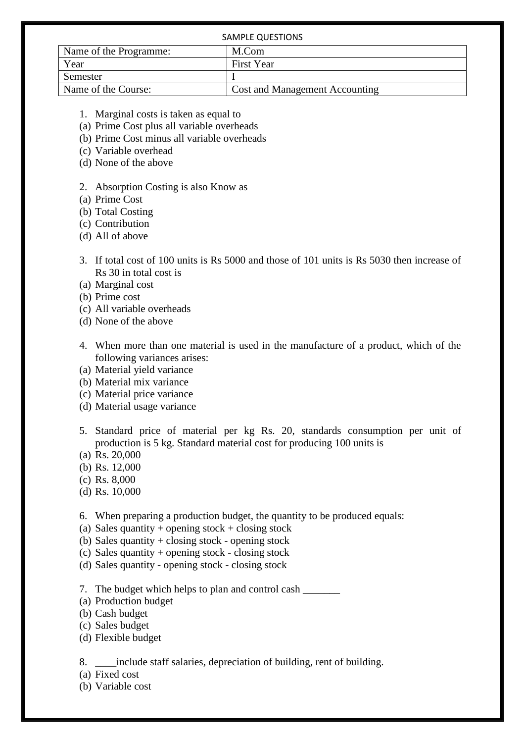| SAMPLE QUESTIONS       |                                       |
|------------------------|---------------------------------------|
| Name of the Programme: | M.Com                                 |
| Year                   | <b>First Year</b>                     |
| Semester               |                                       |
| Name of the Course:    | <b>Cost and Management Accounting</b> |

- 1. Marginal costs is taken as equal to
- (a) Prime Cost plus all variable overheads
- (b) Prime Cost minus all variable overheads
- (c) Variable overhead
- (d) None of the above

## 2. Absorption Costing is also Know as

- (a) Prime Cost
- (b) Total Costing
- (c) Contribution
- (d) All of above
- 3. If total cost of 100 units is Rs 5000 and those of 101 units is Rs 5030 then increase of Rs 30 in total cost is
- (a) Marginal cost
- (b) Prime cost
- (c) All variable overheads
- (d) None of the above
- 4. When more than one material is used in the manufacture of a product, which of the following variances arises:
- (a) Material yield variance
- (b) Material mix variance
- (c) Material price variance
- (d) Material usage variance
- 5. Standard price of material per kg Rs. 20, standards consumption per unit of production is 5 kg. Standard material cost for producing 100 units is
- (a) Rs. 20,000
- (b) Rs. 12,000
- (c) Rs. 8,000
- (d) Rs. 10,000
- 6. When preparing a production budget, the quantity to be produced equals:
- (a) Sales quantity + opening stock + closing stock
- (b) Sales quantity + closing stock opening stock
- (c) Sales quantity + opening stock closing stock
- (d) Sales quantity opening stock closing stock
- 7. The budget which helps to plan and control cash \_\_\_\_\_\_\_\_
- (a) Production budget
- (b) Cash budget
- (c) Sales budget
- (d) Flexible budget
- 8. \_\_\_\_include staff salaries, depreciation of building, rent of building.
- (a) Fixed cost
- (b) Variable cost